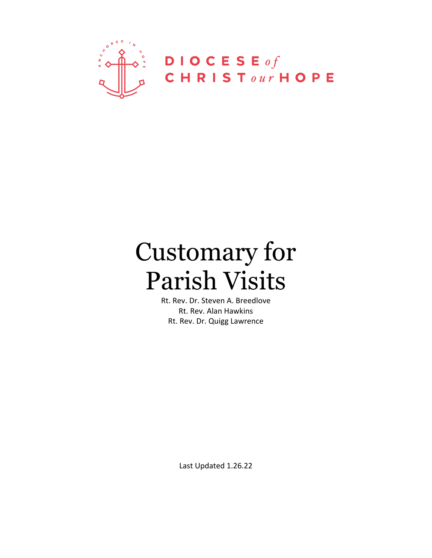

# Customary for Parish Visits

Rt. Rev. Dr. Steven A. Breedlove Rt. Rev. Alan Hawkins Rt. Rev. Dr. Quigg Lawrence

Last Updated 1.26.22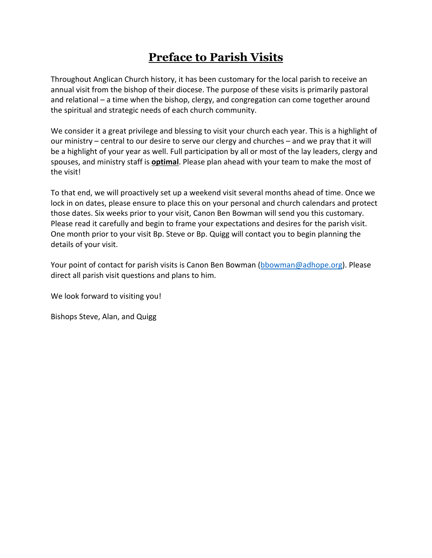## **Preface to Parish Visits**

Throughout Anglican Church history, it has been customary for the local parish to receive an annual visit from the bishop of their diocese. The purpose of these visits is primarily pastoral and relational – a time when the bishop, clergy, and congregation can come together around the spiritual and strategic needs of each church community.

We consider it a great privilege and blessing to visit your church each year. This is a highlight of our ministry – central to our desire to serve our clergy and churches – and we pray that it will be a highlight of your year as well. Full participation by all or most of the lay leaders, clergy and spouses, and ministry staff is **optimal**. Please plan ahead with your team to make the most of the visit!

To that end, we will proactively set up a weekend visit several months ahead of time. Once we lock in on dates, please ensure to place this on your personal and church calendars and protect those dates. Six weeks prior to your visit, Canon Ben Bowman will send you this customary. Please read it carefully and begin to frame your expectations and desires for the parish visit. One month prior to your visit Bp. Steve or Bp. Quigg will contact you to begin planning the details of your visit.

Your point of contact for parish visits is Canon Ben Bowman (bbowman@adhope.org). Please direct all parish visit questions and plans to him.

We look forward to visiting you!

Bishops Steve, Alan, and Quigg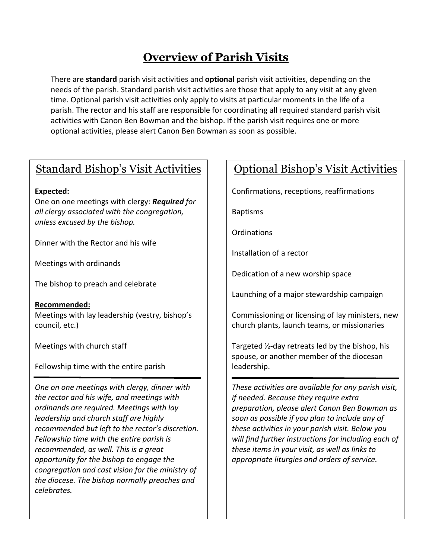## **Overview of Parish Visits**

There are **standard** parish visit activities and **optional** parish visit activities, depending on the needs of the parish. Standard parish visit activities are those that apply to any visit at any given time. Optional parish visit activities only apply to visits at particular moments in the life of a parish. The rector and his staff are responsible for coordinating all required standard parish visit activities with Canon Ben Bowman and the bishop. If the parish visit requires one or more optional activities, please alert Canon Ben Bowman as soon as possible.

## Standard Bishop's Visit Activities

#### **Expected:**

One on one meetings with clergy: *Required for all clergy associated with the congregation, unless excused by the bishop.* 

Dinner with the Rector and his wife

Meetings with ordinands

The bishop to preach and celebrate

**Recommended:** Meetings with lay leadership (vestry, bishop's council, etc.)

Meetings with church staff

Fellowship time with the entire parish

*One on one meetings with clergy, dinner with the rector and his wife, and meetings with ordinands are required. Meetings with lay leadership and church staff are highly recommended but left to the rector's discretion. Fellowship time with the entire parish is recommended, as well. This is a great opportunity for the bishop to engage the congregation and cast vision for the ministry of the diocese. The bishop normally preaches and celebrates.*

## Optional Bishop's Visit Activities

Confirmations, receptions, reaffirmations

Baptisms

Ordinations

Installation of a rector

Dedication of a new worship space

Launching of a major stewardship campaign

Commissioning or licensing of lay ministers, new church plants, launch teams, or missionaries

Targeted ½-day retreats led by the bishop, his spouse, or another member of the diocesan leadership.

*These activities are available for any parish visit, if needed. Because they require extra preparation, please alert Canon Ben Bowman as soon as possible if you plan to include any of these activities in your parish visit. Below you will find further instructions for including each of these items in your visit, as well as links to appropriate liturgies and orders of service.*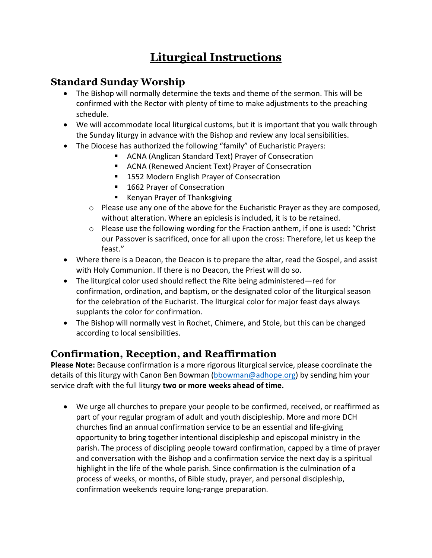## **Liturgical Instructions**

#### **Standard Sunday Worship**

- The Bishop will normally determine the texts and theme of the sermon. This will be confirmed with the Rector with plenty of time to make adjustments to the preaching schedule.
- We will accommodate local liturgical customs, but it is important that you walk through the Sunday liturgy in advance with the Bishop and review any local sensibilities.
- The Diocese has authorized the following "family" of Eucharistic Prayers:
	- ACNA (Anglican Standard Text) Prayer of Consecration
	- ACNA (Renewed Ancient Text) Prayer of Consecration
	- 1552 Modern English Prayer of Consecration
	- 1662 Prayer of Consecration
	- Kenyan Prayer of Thanksgiving
	- o Please use any one of the above for the Eucharistic Prayer as they are composed, without alteration. Where an epiclesis is included, it is to be retained.
	- o Please use the following wording for the Fraction anthem, if one is used: "Christ our Passover is sacrificed, once for all upon the cross: Therefore, let us keep the feast."
- Where there is a Deacon, the Deacon is to prepare the altar, read the Gospel, and assist with Holy Communion. If there is no Deacon, the Priest will do so.
- The liturgical color used should reflect the Rite being administered—red for confirmation, ordination, and baptism, or the designated color of the liturgical season for the celebration of the Eucharist. The liturgical color for major feast days always supplants the color for confirmation.
- The Bishop will normally vest in Rochet, Chimere, and Stole, but this can be changed according to local sensibilities.

### **Confirmation, Reception, and Reaffirmation**

**Please Note:** Because confirmation is a more rigorous liturgical service, please coordinate the details of this liturgy with Canon Ben Bowman (bbowman@adhope.org) by sending him your service draft with the full liturgy **two or more weeks ahead of time.**

• We urge all churches to prepare your people to be confirmed, received, or reaffirmed as part of your regular program of adult and youth discipleship. More and more DCH churches find an annual confirmation service to be an essential and life-giving opportunity to bring together intentional discipleship and episcopal ministry in the parish. The process of discipling people toward confirmation, capped by a time of prayer and conversation with the Bishop and a confirmation service the next day is a spiritual highlight in the life of the whole parish. Since confirmation is the culmination of a process of weeks, or months, of Bible study, prayer, and personal discipleship, confirmation weekends require long-range preparation.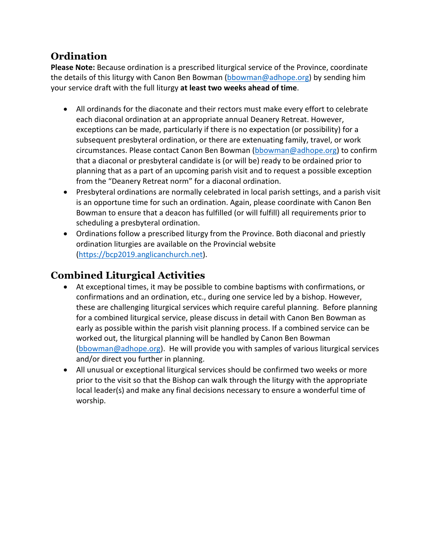#### **Ordination**

**Please Note:** Because ordination is a prescribed liturgical service of the Province, coordinate the details of this liturgy with Canon Ben Bowman (bbowman@adhope.org) by sending him your service draft with the full liturgy **at least two weeks ahead of time**.

- All ordinands for the diaconate and their rectors must make every effort to celebrate each diaconal ordination at an appropriate annual Deanery Retreat. However, exceptions can be made, particularly if there is no expectation (or possibility) for a subsequent presbyteral ordination, or there are extenuating family, travel, or work circumstances. Please contact Canon Ben Bowman (bbowman@adhope.org) to confirm that a diaconal or presbyteral candidate is (or will be) ready to be ordained prior to planning that as a part of an upcoming parish visit and to request a possible exception from the "Deanery Retreat norm" for a diaconal ordination.
- Presbyteral ordinations are normally celebrated in local parish settings, and a parish visit is an opportune time for such an ordination. Again, please coordinate with Canon Ben Bowman to ensure that a deacon has fulfilled (or will fulfill) all requirements prior to scheduling a presbyteral ordination.
- Ordinations follow a prescribed liturgy from the Province. Both diaconal and priestly ordination liturgies are available on the Provincial website (https://bcp2019.anglicanchurch.net).

## **Combined Liturgical Activities**

- At exceptional times, it may be possible to combine baptisms with confirmations, or confirmations and an ordination, etc., during one service led by a bishop. However, these are challenging liturgical services which require careful planning. Before planning for a combined liturgical service, please discuss in detail with Canon Ben Bowman as early as possible within the parish visit planning process. If a combined service can be worked out, the liturgical planning will be handled by Canon Ben Bowman (bbowman@adhope.org). He will provide you with samples of various liturgical services and/or direct you further in planning.
- All unusual or exceptional liturgical services should be confirmed two weeks or more prior to the visit so that the Bishop can walk through the liturgy with the appropriate local leader(s) and make any final decisions necessary to ensure a wonderful time of worship.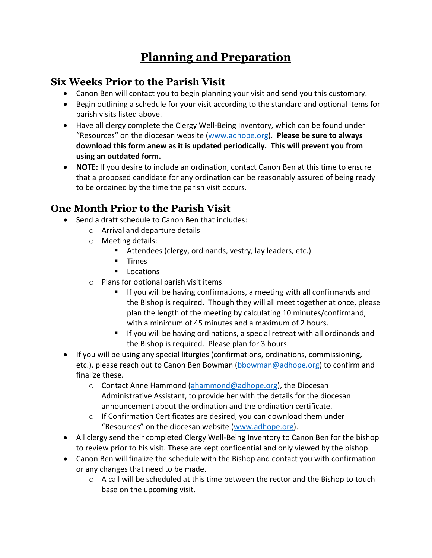## **Planning and Preparation**

#### **Six Weeks Prior to the Parish Visit**

- Canon Ben will contact you to begin planning your visit and send you this customary.
- Begin outlining a schedule for your visit according to the standard and optional items for parish visits listed above.
- Have all clergy complete the Clergy Well-Being Inventory, which can be found under "Resources" on the diocesan website (www.adhope.org). **Please be sure to always download this form anew as it is updated periodically. This will prevent you from using an outdated form.**
- **NOTE:** If you desire to include an ordination, contact Canon Ben at this time to ensure that a proposed candidate for any ordination can be reasonably assured of being ready to be ordained by the time the parish visit occurs.

## **One Month Prior to the Parish Visit**

- Send a draft schedule to Canon Ben that includes:
	- o Arrival and departure details
	- o Meeting details:
		- Attendees (clergy, ordinands, vestry, lay leaders, etc.)
		- § Times
		- Locations
	- o Plans for optional parish visit items
		- If you will be having confirmations, a meeting with all confirmands and the Bishop is required. Though they will all meet together at once, please plan the length of the meeting by calculating 10 minutes/confirmand, with a minimum of 45 minutes and a maximum of 2 hours.
		- If you will be having ordinations, a special retreat with all ordinands and the Bishop is required. Please plan for 3 hours.
- If you will be using any special liturgies (confirmations, ordinations, commissioning, etc.), please reach out to Canon Ben Bowman (bbowman@adhope.org) to confirm and finalize these.
	- o Contact Anne Hammond (ahammond@adhope.org), the Diocesan Administrative Assistant, to provide her with the details for the diocesan announcement about the ordination and the ordination certificate.
	- o If Confirmation Certificates are desired, you can download them under "Resources" on the diocesan website (www.adhope.org).
- All clergy send their completed Clergy Well-Being Inventory to Canon Ben for the bishop to review prior to his visit. These are kept confidential and only viewed by the bishop.
- Canon Ben will finalize the schedule with the Bishop and contact you with confirmation or any changes that need to be made.
	- $\circ$  A call will be scheduled at this time between the rector and the Bishop to touch base on the upcoming visit.